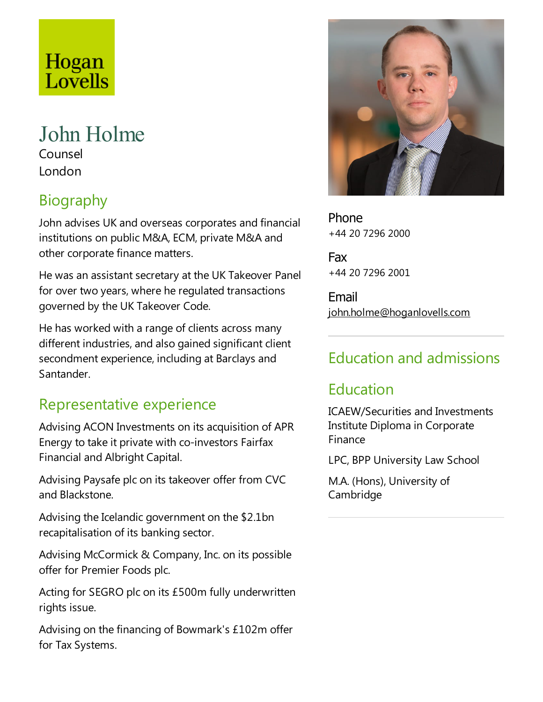# Hogan Lovells

### John Holme Counsel

London

# Biography

John advises UK and overseas corporates and financial institutions on public M&A, ECM, private M&A and other corporate finance matters.

He was an assistant secretary at the UK Takeover Panel for over two years, where he regulated transactions governed by the UK Takeover Code.

He has worked with a range of clients across many different industries, and also gained significant client secondment experience, including at Barclays and Santander.

## Representative experience

Advising ACON Investments on its acquisition of APR Energy to take it private with co-investors Fairfax Financial and Albright Capital.

Advising Paysafe plc on its takeover offer from CVC and Blackstone.

Advising the Icelandic government on the \$2.1bn recapitalisation of its banking sector.

Advising McCormick & Company, Inc. on its possible offer for Premier Foods plc.

Acting for SEGRO plc on its £500m fully underwritten rights issue.

Advising on the financing of Bowmark's £102m offer for Tax Systems.



Phone +44 20 7296 2000

Fax +44 20 7296 2001

Email john.holme@hoganlovells.com

## Education and admissions

## Education

ICAEW/Securities and Investments Institute Diploma in Corporate Finance

LPC, BPP University Law School

M.A. (Hons), University of Cambridge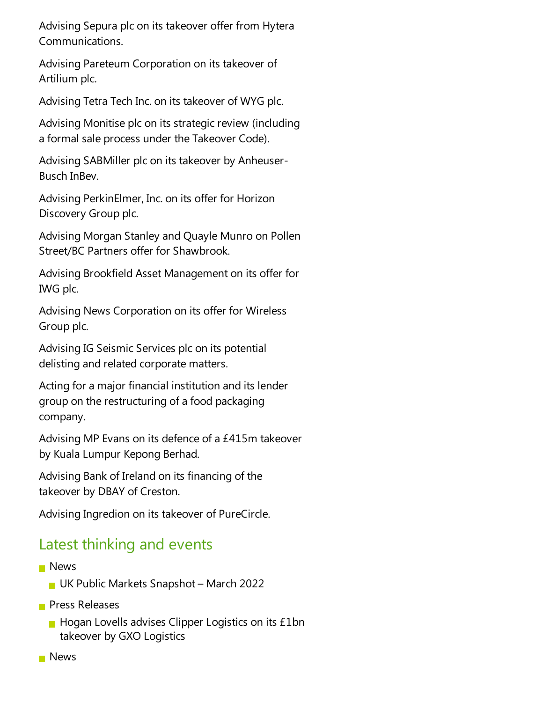Advising Sepura plc on its takeover offer from Hytera Communications.

Advising Pareteum Corporation on its takeover of Artilium plc.

Advising Tetra Tech Inc. on its takeover of WYG plc.

Advising Monitise plc on its strategic review (including a formal sale process under the Takeover Code).

Advising SABMiller plc on its takeover by Anheuser-Busch InBev.

Advising PerkinElmer, Inc. on its offer for Horizon Discovery Group plc.

Advising Morgan Stanley and Quayle Munro on Pollen Street/BC Partners offer for Shawbrook.

Advising Brookfield Asset Management on its offer for IWG plc.

Advising News Corporation on its offer for Wireless Group plc.

Advising IG Seismic Services plc on its potential delisting and related corporate matters.

Acting for a major financial institution and its lender group on the restructuring of a food packaging company.

Advising MP Evans on its defence of a £415m takeover by Kuala Lumpur Kepong Berhad.

Advising Bank of Ireland on its financing of the takeover by DBAY of Creston.

Advising Ingredion on its takeover of PureCircle.

### Latest thinking and events

- **News** 
	- UK Public Markets Snapshot March 2022
- **Press Releases** 
	- $\blacksquare$  Hogan Lovells advises Clipper Logistics on its £1bn takeover by GXO Logistics
- **News**